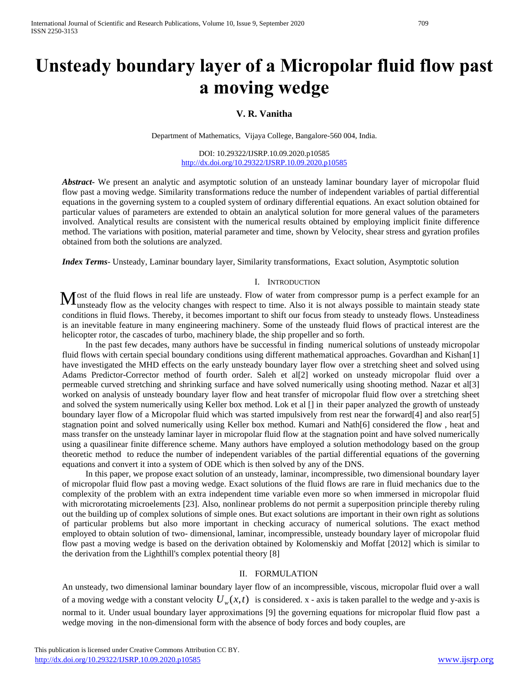# **Unsteady boundary layer of a Micropolar fluid flow past a moving wedge**

## **V. R. Vanitha**

Department of Mathematics, Vijaya College, Bangalore-560 004, India.

DOI: 10.29322/IJSRP.10.09.2020.p10585 <http://dx.doi.org/10.29322/IJSRP.10.09.2020.p10585>

*Abstract***-** We present an analytic and asymptotic solution of an unsteady laminar boundary layer of micropolar fluid flow past a moving wedge. Similarity transformations reduce the number of independent variables of partial differential equations in the governing system to a coupled system of ordinary differential equations. An exact solution obtained for particular values of parameters are extended to obtain an analytical solution for more general values of the parameters involved. Analytical results are consistent with the numerical results obtained by employing implicit finite difference method. The variations with position, material parameter and time, shown by Velocity, shear stress and gyration profiles obtained from both the solutions are analyzed.

*Index Terms*- Unsteady, Laminar boundary layer, Similarity transformations, Exact solution, Asymptotic solution

#### I. INTRODUCTION

ost of the fluid flows in real life are unsteady. Flow of water from compressor pump is a perfect example for an  $M_{\text{unsteady flow}}$  flows in real life are unsteady. Flow of water from compressor pump is a perfect example for an unsteady flow as the velocity changes with respect to time. Also it is not always possible to maintain steady sta conditions in fluid flows. Thereby, it becomes important to shift our focus from steady to unsteady flows. Unsteadiness is an inevitable feature in many engineering machinery. Some of the unsteady fluid flows of practical interest are the helicopter rotor, the cascades of turbo, machinery blade, the ship propeller and so forth.

In the past few decades, many authors have be successful in finding numerical solutions of unsteady micropolar fluid flows with certain special boundary conditions using different mathematical approaches. Govardhan and Kishan[1] have investigated the MHD effects on the early unsteady boundary layer flow over a stretching sheet and solved using Adams Predictor-Corrector method of fourth order. Saleh et al[2] worked on unsteady micropolar fluid over a permeable curved stretching and shrinking surface and have solved numerically using shooting method. Nazar et al[3] worked on analysis of unsteady boundary layer flow and heat transfer of micropolar fluid flow over a stretching sheet and solved the system numerically using Keller box method. Lok et al [] in their paper analyzed the growth of unsteady boundary layer flow of a Micropolar fluid which was started impulsively from rest near the forward[4] and also rear[5] stagnation point and solved numerically using Keller box method. Kumari and Nath[6] considered the flow , heat and mass transfer on the unsteady laminar layer in micropolar fluid flow at the stagnation point and have solved numerically using a quasilinear finite difference scheme. Many authors have employed a solution methodology based on the group theoretic method to reduce the number of independent variables of the partial differential equations of the governing equations and convert it into a system of ODE which is then solved by any of the DNS.

In this paper, we propose exact solution of an unsteady, laminar, incompressible, two dimensional boundary layer of micropolar fluid flow past a moving wedge. Exact solutions of the fluid flows are rare in fluid mechanics due to the complexity of the problem with an extra independent time variable even more so when immersed in micropolar fluid with microrotating microelements [23]. Also, nonlinear problems do not permit a superposition principle thereby ruling out the building up of complex solutions of simple ones. But exact solutions are important in their own right as solutions of particular problems but also more important in checking accuracy of numerical solutions. The exact method employed to obtain solution of two- dimensional, laminar, incompressible, unsteady boundary layer of micropolar fluid flow past a moving wedge is based on the derivation obtained by Kolomenskiy and Moffat [2012] which is similar to the derivation from the Lighthill's complex potential theory [8]

## II. FORMULATION

An unsteady, two dimensional laminar boundary layer flow of an incompressible, viscous, micropolar fluid over a wall of a moving wedge with a constant velocity  $U_{w}(x,t)$  is considered. x - axis is taken parallel to the wedge and y-axis is normal to it. Under usual boundary layer approximations [9] the governing equations for micropolar fluid flow past a wedge moving in the non-dimensional form with the absence of body forces and body couples, are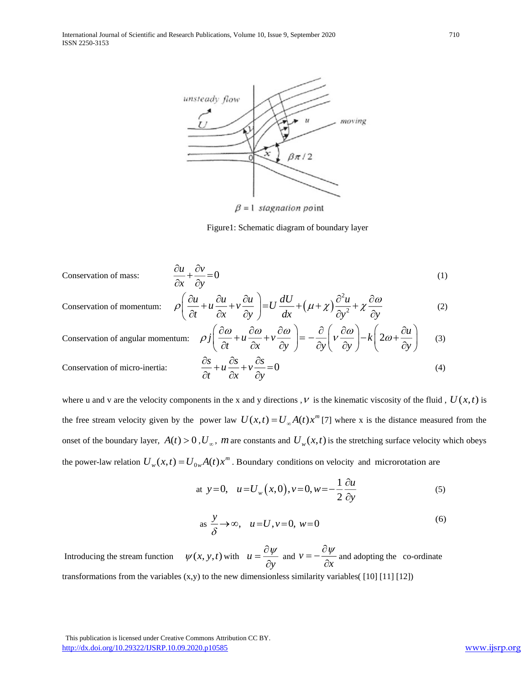

 $\beta = 1$  stagnation point

Figure1: Schematic diagram of boundary layer

Conservation of mass: 
$$
\frac{\partial u}{\partial x} + \frac{\partial v}{\partial y} = 0
$$
 (1)

Conservation of momentum: 
$$
\rho \left( \frac{\partial u}{\partial t} + u \frac{\partial u}{\partial x} + v \frac{\partial u}{\partial y} \right) = U \frac{dU}{dx} + (\mu + \chi) \frac{\partial^2 u}{\partial y^2} + \chi \frac{\partial \omega}{\partial y}
$$
 (2)

Conservation of angular momentum: 
$$
\rho j \left( \frac{\partial \omega}{\partial t} + u \frac{\partial \omega}{\partial x} + v \frac{\partial \omega}{\partial y} \right) = -\frac{\partial}{\partial y} \left( v \frac{\partial \omega}{\partial y} \right) - k \left( 2\omega + \frac{\partial u}{\partial y} \right)
$$
 (3)  
Conservation of micro-inertia:  $\frac{\partial s}{\partial t} + u \frac{\partial s}{\partial x} + v \frac{\partial s}{\partial y} = 0$  (4)

where u and v are the velocity components in the x and y directions, V is the kinematic viscosity of the fluid,  $U(x,t)$  is the free stream velocity given by the power law  $U(x,t) = U_{\infty}A(t)x^{m}$  [7] where x is the distance measured from the onset of the boundary layer,  $A(t) > 0$ ,  $U_{\infty}$ ,  $m$  are constants and  $U_{w}(x,t)$  is the stretching surface velocity which obeys the power-law relation  $U_w(x,t) = U_{0w}A(t)x^m$ . Boundary conditions on velocity and microrotation are

at 
$$
y=0
$$
,  $u=U_w(x,0), v=0, w=-\frac{1}{2}\frac{\partial u}{\partial y}$  (5)

$$
as \frac{y}{\delta} \to \infty, \quad u = U, v = 0, \ w = 0 \tag{6}
$$

Introducing the stream function  $\psi(x, y, t)$  with *u y*  $=\frac{\partial \psi}{\partial v}$  and v *x*  $=-\frac{\partial \psi}{\partial x}$  and adopting the co-ordinate transformations from the variables  $(x,y)$  to the new dimensionless similarity variables( $\lceil 10 \rceil \lceil 11 \rceil \lceil 12 \rceil$ )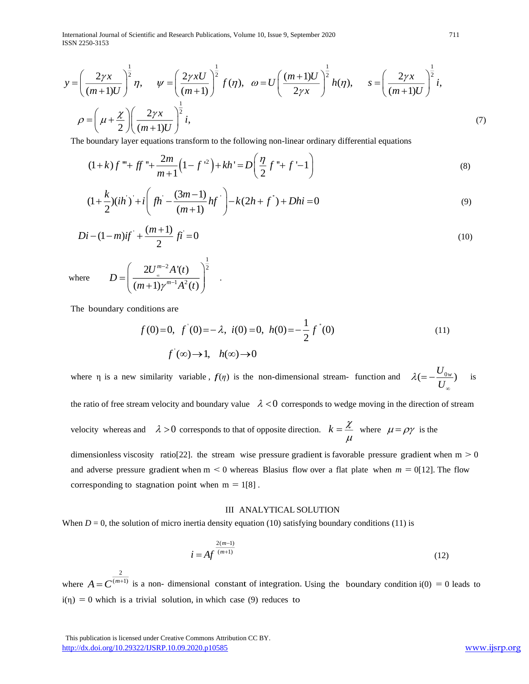International Journal of Scientific and Research Publications, Volume 10, Issue 9, September 2020 711 ISSN 2250-3153

2  $\Lambda'(t)$   $\sqrt{\frac{1}{2}}$ 

 $1 \times 2$ 

 $2U^{m-2}A'(t)$  $(m+1)\gamma^{m-1}A^{2}(t)$ 

 $(m+1)\gamma^{m-1}A^{2}(t)$ œ Ξ.

т.  $=\left(\frac{2U_{\infty}^{m-2}A'(t)}{(m+1)\gamma^{m-1}A^2(t)}\right)^{\frac{1}{2}}$ .

*m*  $U^{m-z}A$ '(t

$$
y = \left(\frac{2\gamma x}{(m+1)U}\right)^{\frac{1}{2}} \eta, \quad \psi = \left(\frac{2\gamma x U}{(m+1)}\right)^{\frac{1}{2}} f(\eta), \quad \omega = U \left(\frac{(m+1)U}{2\gamma x}\right)^{\frac{1}{2}} h(\eta), \quad s = \left(\frac{2\gamma x}{(m+1)U}\right)^{\frac{1}{2}} i,
$$

$$
\rho = \left(\mu + \frac{\chi}{2}\right) \left(\frac{2\gamma x}{(m+1)U}\right)^{\frac{1}{2}} i,
$$
(7)

The boundary layer equations transform to the following non-linear ordinary differential equations

$$
(1+k)f''' + ff'' + \frac{2m}{m+1}(1-f'^2) + kh' = D\left(\frac{\eta}{2}f'' + f' - 1\right)
$$
  

$$
(1 + \frac{k}{m})(ih') + i\left(\frac{\eta}{m} - \frac{(3m-1)}{2}hf'\right) - k(2h + f') + Dhi = 0
$$
  
(9)

$$
(1+k)j^{2} + jj^{2} + \frac{1}{m+1}(1-j^{2}) + kh^{2} - D\left(\frac{1}{2}j^{2} + j^{2} - 1\right)
$$
\n
$$
(1+\frac{k}{2})(ih^{2})^{2} + i\left(jh^{2} - \frac{(3m-1)}{(m+1)}hf^{2}\right) - k(2h+f^{2}) + Dhi = 0
$$
\n(9)

$$
Di - (1 - m)if^{+} + \frac{(m+1)}{2}fi = 0
$$
\n(10)

where

The boundary conditions are

*D*

$$
f(0)=0, \ f'(0)=-\lambda, \ i(0)=0, \ h(0)=-\frac{1}{2}f'(0)
$$
  

$$
f(\infty)\to 1, \ h(\infty)\to 0
$$
 (11)

where  $\eta$  is a new similarity variable,  $f(\eta)$  is the non-dimensional stream- function and  $\lambda = -\frac{U_{0w}}{U}$  $\lambda$ ∞  $=-\frac{\epsilon_{0w}}{w}$  is

the ratio of free stream velocity and boundary value  $\lambda < 0$  corresponds to wedge moving in the direction of stream

velocity whereas and  $\lambda > 0$  corresponds to that of opposite direction.  $k = \frac{\chi}{\lambda}$  $\mu$  $=\frac{\lambda}{\mu}$  where  $\mu = \rho \gamma$  is the

dimensionless viscosity ratio[22]. the stream wise pressure gradient is favorable pressure gradient when  $m > 0$ and adverse pressure gradient when  $m < 0$  whereas Blasius flow over a flat plate when  $m = 0$ [12]. The flow corresponding to stagnation point when  $m = 1[8]$ .

#### III ANALYTICAL SOLUTION

When  $D = 0$ , the solution of micro inertia density equation (10) satisfying boundary conditions (11) is

$$
i = Af^{\frac{2(m-1)}{(m+1)}}
$$
 (12)

where 2  $A = C^{(m+1)}$  is a non-dimensional constant of integration. Using the boundary condition i(0) = 0 leads to  $i(\eta) = 0$  which is a trivial solution, in which case (9) reduces to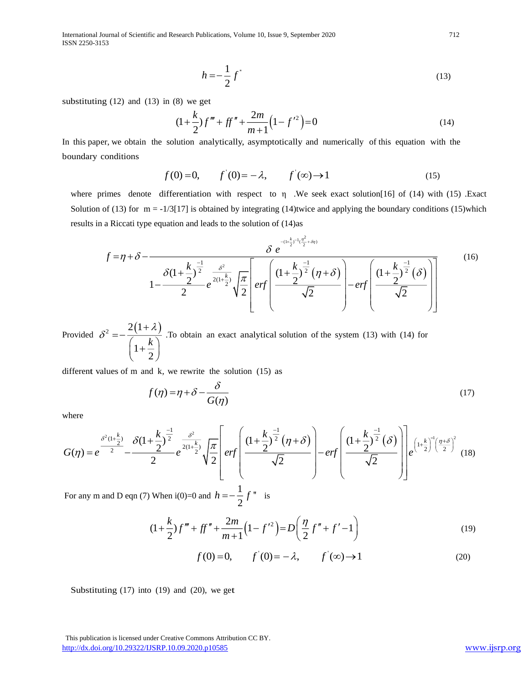International Journal of Scientific and Research Publications, Volume 10, Issue 9, September 2020 712 ISSN 2250-3153

$$
h = -\frac{1}{2}f^{\prime}
$$
\n<sup>(13)</sup>

substituting  $(12)$  and  $(13)$  in  $(8)$  we get

$$
(1 + \frac{k}{2})f''' + ff'' + \frac{2m}{m+1}(1 - f'^2) = 0
$$
\n(14)

In this paper, we obtain the solution analytically, asymptotically and numerically of this equation with the boundary conditions

$$
f(0)=0,
$$
  $f'(0)=-\lambda,$   $f'(\infty)\to 1$  (15)

where primes denote differentiation with respect to η .We seek exact solution[16] of (14) with (15) .Exact Solution of (13) for  $m = -1/3[17]$  is obtained by integrating (14)twice and applying the boundary conditions (15)which results in a Riccati type equation and leads to the solution of (14)as

$$
f = \eta + \delta - \frac{\delta e^{-\frac{(\mu_{\gamma}^{k}) - (\frac{\eta^{2}}{2} + \delta \eta)}}{\delta(1 + \frac{k}{2})^{\frac{-1}{2}}} e^{-\frac{\delta^{2}}{2(1 + \frac{k}{2})}} \sqrt{\frac{\pi}{2}} \left[ erf \left( \frac{(1 + \frac{k}{2})^{\frac{-1}{2}}}{\sqrt{2}} (\eta + \delta) - erf \left( \frac{(1 + \frac{k}{2})^{\frac{-1}{2}}}{\sqrt{2}} \right) \right] \right]
$$
(16)

Provided  $\delta^2 = -\frac{2(1+\lambda)}{\sqrt{2\lambda}}$ 1 2 *k* λ  $\delta^2 = -\frac{2(1+1)}{2}$  $=-\frac{k}{\left(1+\frac{k}{2}\right)}$ .To obtain an exact analytical solution of the system (13) with (14) for

different values of m and k, we rewrite the solution (15) as

$$
f(\eta) = \eta + \delta - \frac{\delta}{G(\eta)}
$$
\n(17)

where

$$
G(\eta) = e^{\frac{\delta^2 (1 + \frac{k}{2})}{2}} - \frac{\delta (1 + \frac{k}{2})^{\frac{-1}{2}}}{2} e^{\frac{\delta^2}{2(1 + \frac{k}{2})}} \sqrt{\frac{\pi}{2}} \left[ erf \left( \frac{\left(1 + \frac{k}{2}\right)^{\frac{-1}{2}} (\eta + \delta)}{\sqrt{2}} \right) - erf \left( \frac{\left(1 + \frac{k}{2}\right)^{\frac{-1}{2}} (\delta)}{\sqrt{2}} \right) \right] e^{\left(1 + \frac{k}{2}\right)^{\frac{-1}{2}} \left(\frac{\eta + \delta}{2}\right)^2} (18)
$$

For any m and D eqn (7) When  $i(0)=0$  and  $h = -\frac{1}{2}f''$  is

$$
(1 + \frac{k}{2})f''' + ff'' + \frac{2m}{m+1}(1 - f'^2) = D\left(\frac{\eta}{2}f'' + f' - 1\right)
$$
\n(19)

$$
f(0)=0
$$
,  $f'(0)=-\lambda$ ,  $f'(\infty)\to 1$  (20)

Substituting  $(17)$  into  $(19)$  and  $(20)$ , we get

 This publication is licensed under Creative Commons Attribution CC BY. <http://dx.doi.org/10.29322/IJSRP.10.09.2020.p10585> [www.ijsrp.org](http://ijsrp.org/)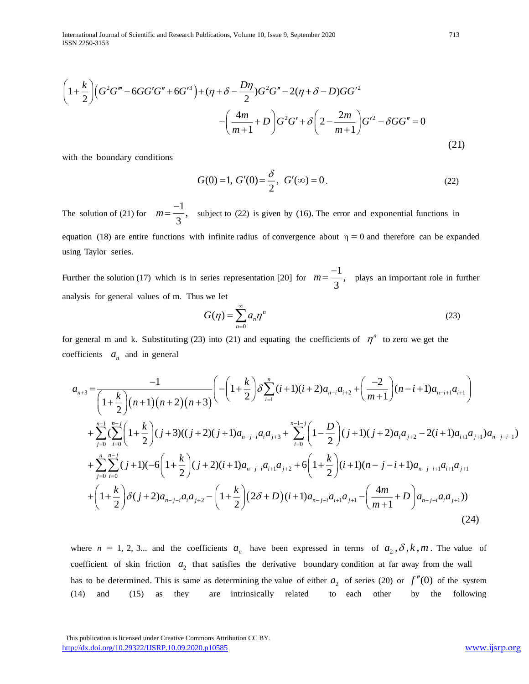International Journal of Scientific and Research Publications, Volume 10, Issue 9, September 2020 713 ISSN 2250-3153

$$
\left(1+\frac{k}{2}\right)\left(G^2G'''-6GG'G''+6G'^3\right)+(\eta+\delta-\frac{D\eta}{2})G^2G''-2(\eta+\delta-D)GG'^2
$$

$$
-\left(\frac{4m}{m+1}+D\right)G^2G'+\delta\left(2-\frac{2m}{m+1}\right)G'^2-\delta GG''=0
$$
(21)

with the boundary conditions

$$
G(0) = 1, G'(0) = \frac{\delta}{2}, G'(\infty) = 0.
$$
 (22)

The solution of (21) for 1  $m = \frac{-1}{3}$ , subject to (22) is given by (16). The error and exponential functions in equation (18) are entire functions with infinite radius of convergence about  $\eta = 0$  and therefore can be expanded using Taylor series.

Further the solution (17) which is in series representation [20] for  $m = \frac{-1}{2}$  $m = \frac{-1}{3}$ , plays an important role in further analysis for general values of m. Thus we let

$$
G(\eta) = \sum_{n=0}^{\infty} a_n \eta^n
$$
 (23)

for general m and k. Substituting (23) into (21) and equating the coefficients of  $\eta^n$  to zero we get the coefficients  $a_n$  and in general

$$
a_{n+3} = \frac{-1}{\left(1+\frac{k}{2}\right)(n+1)(n+2)(n+3)} \left(-\left(1+\frac{k}{2}\right)\delta \sum_{i=1}^{n} (i+1)(i+2)a_{n-i}a_{i+2} + \left(\frac{-2}{m+1}\right)(n-i+1)a_{n-i+1}a_{i+1}\right) + \sum_{j=0}^{n-1} \left(\sum_{i=0}^{n-j} \left(1+\frac{k}{2}\right)(j+3)((j+2)(j+1)a_{n-j-i}a_i a_{j+3} + \sum_{i=0}^{n-1-j} \left(1-\frac{D}{2}\right)(j+1)(j+2)a_i a_{j+2} - 2(i+1)a_{i+1}a_{j+1})a_{n-j-i-1}\right) + \sum_{j=0}^{n} \sum_{i=0}^{n-j} (j+1)(-6\left(1+\frac{k}{2}\right)(j+2)(i+1)a_{n-j-i}a_{i+1}a_{j+2} + 6\left(1+\frac{k}{2}\right)(i+1)(n-j-i+1)a_{n-j-i+1}a_{i+1}a_{j+1} + \left(1+\frac{k}{2}\right)\delta(j+2)a_{n-j-i}a_i a_{j+2} - \left(1+\frac{k}{2}\right)(2\delta+D)(i+1)a_{n-j-i}a_{i+1}a_{j+1} - \left(\frac{4m}{m+1}+D\right)a_{n-j-i}a_i a_{j+1})\right)
$$
\n(24)

where  $n = 1, 2, 3...$  and the coefficients  $a_n$  have been expressed in terms of  $a_2, \delta, k, m$ . The value of coefficient of skin friction  $a_2$  that satisfies the derivative boundary condition at far away from the wall has to be determined. This is same as determining the value of either  $a_2$  of series (20) or  $f''(0)$  of the system (14) and (15) as they are intrinsically related to each other by the following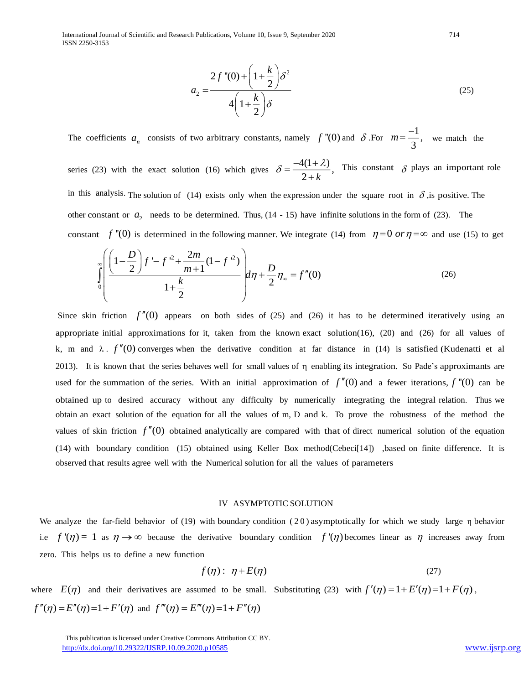International Journal of Scientific and Research Publications, Volume 10, Issue 9, September 2020 714 ISSN 2250-3153

$$
a_2 = \frac{2f''(0) + \left(1 + \frac{k}{2}\right)\delta^2}{4\left(1 + \frac{k}{2}\right)\delta}
$$
\n(25)

The coefficients  $a_n$  consists of two arbitrary constants, namely f "(0) and  $\delta$ . For  $m = \frac{-1}{2}$  $m = \frac{-1}{3}$ , we match the

series (23) with the exact solution (16) which gives  $\delta = \frac{-4(1+\lambda)}{2+k}$ ,  $\delta = \frac{-4(1+\lambda)}{2+k}$ This constant  $\delta$  plays an important role in this analysis. The solution of (14) exists only when the expression under the square root in  $\delta$ , is positive. The other constant or  $a_2$  needs to be determined. Thus,  $(14 - 15)$  have infinite solutions in the form of (23). The

constant  $f''(0)$  is determined in the following manner. We integrate (14) from  $\eta = 0$  or  $\eta = \infty$  and use (15) to get

$$
\int_{0}^{\infty} \left( \frac{\left(1 - \frac{D}{2}\right)f' - f'^2 + \frac{2m}{m+1}(1 - f'^2)}{1 + \frac{k}{2}} \right) d\eta + \frac{D}{2} \eta_{\infty} = f''(0) \tag{26}
$$

Since skin friction  $f''(0)$  appears on both sides of (25) and (26) it has to be determined iteratively using an appropriate initial approximations for it, taken from the known exact solution( $16$ ),  $(20)$  and  $(26)$  for all values of k, m and  $\lambda$ .  $f''(0)$  converges when the derivative condition at far distance in (14) is satisfied (Kudenatti et al 2013). It is known that the series behaves well for small values of η enabling its integration. So Pade's approximants are used for the summation of the series. With an initial approximation of  $f''(0)$  and a fewer iterations,  $f''(0)$  can be obtained up to desired accuracy without any difficulty by numerically integrating the integral relation. Thus we obtain an exact solution of the equation for all the values of m, D and k. To prove the robustness of the method the values of skin friction  $f''(0)$  obtained analytically are compared with that of direct numerical solution of the equation (14) with boundary condition (15) obtained using Keller Box method(Cebeci[14]) ,based on finite difference. It is observed that results agree well with the Numerical solution for all the values of parameters

#### IV ASYMPTOTIC SOLUTION

We analyze the far-field behavior of (19) with boundary condition (20 ) asymptotically for which we study large η behavior i.e  $f'(\eta) = 1$  as  $\eta \to \infty$  because the derivative boundary condition  $f'(\eta)$  becomes linear as  $\eta$  increases away from zero. This helps us to define a new function

$$
f(\eta): \eta + E(\eta) \tag{27}
$$

where  $E(\eta)$  and their derivatives are assumed to be small. Substituting (23) with  $f'(\eta) = 1 + E'(\eta) = 1 + F(\eta)$ ,  $f''(\eta) = E''(\eta) = 1 + F'(\eta)$  and  $f'''(\eta) = E'''(\eta) = 1 + F''(\eta)$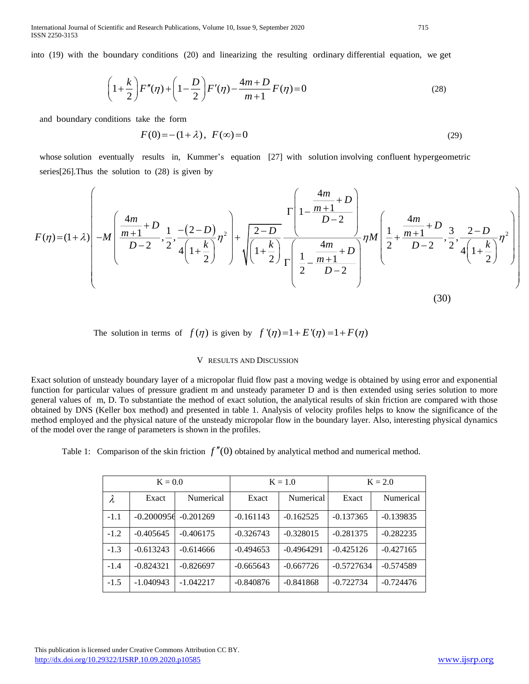International Journal of Scientific and Research Publications, Volume 10, Issue 9, September 2020 715 ISSN 2250-3153

into (19) with the boundary conditions (20) and linearizing the resulting ordinary differential equation, we get

$$
\left(1 + \frac{k}{2}\right)F''(\eta) + \left(1 - \frac{D}{2}\right)F'(\eta) - \frac{4m + D}{m + 1}F(\eta) = 0\tag{28}
$$

and boundary conditions take the form

$$
F(0) = -(1 + \lambda), \ F(\infty) = 0 \tag{29}
$$

whose solution eventually results in, Kummer's equation [27] with solution involving confluent hypergeometric series[26].Thus the solution to (28) is given by

$$
F(\eta) = (1+\lambda) \left( -M \left( \frac{4m}{m+1} + D_{\frac{1}{2}, \frac{1}{2}, \frac{-\left(2-D\right)}{4\left(1+\frac{k}{2}\right)}} \eta^2 \right) + \sqrt{\frac{2-D}{\left(1+\frac{k}{2}\right)}} \frac{\Gamma\left(1 - \frac{4m}{D-2}\right)}{\Gamma\left(\frac{1}{2} - \frac{4m}{D-2}\right)} \eta M \left( \frac{1}{2} + \frac{\frac{4m}{m+1} + D}{D-2}, \frac{3}{2}, \frac{2-D}{4\left(1+\frac{k}{2}\right)} \eta^2 \right) \right) \tag{30}
$$

The solution in terms of  $f(\eta)$  is given by  $f'(\eta)=1+E'(\eta)=1+F(\eta)$ 

## V RESULTS AND DISCUSSION

Exact solution of unsteady boundary layer of a micropolar fluid flow past a moving wedge is obtained by using error and exponential function for particular values of pressure gradient m and unsteady parameter D and is then extended using series solution to more general values of m, D. To substantiate the method of exact solution, the analytical results of skin friction are compared with those obtained by DNS (Keller box method) and presented in table 1. Analysis of velocity profiles helps to know the significance of the method employed and the physical nature of the unsteady micropolar flow in the boundary layer. Also, interesting physical dynamics of the model over the range of parameters is shown in the profiles.

Table 1: Comparison of the skin friction  $f''(0)$  obtained by analytical method and numerical method.

| $K = 0.0$ |              |             | $K = 1.0$   |              | $K = 2.0$    |             |
|-----------|--------------|-------------|-------------|--------------|--------------|-------------|
| λ         | Exact        | Numerical   | Exact       | Numerical    | Exact        | Numerical   |
| $-1.1$    | $-0.2000956$ | $-0.201269$ | $-0.161143$ | $-0.162525$  | $-0.137365$  | $-0.139835$ |
| $-1.2$    | $-0.405645$  | $-0.406175$ | $-0.326743$ | $-0.328015$  | $-0.281375$  | $-0.282235$ |
| $-1.3$    | $-0.613243$  | $-0.614666$ | $-0.494653$ | $-0.4964291$ | $-0.425126$  | $-0.427165$ |
| $-1.4$    | $-0.824321$  | $-0.826697$ | $-0.665643$ | $-0.667726$  | $-0.5727634$ | $-0.574589$ |
| $-1.5$    | $-1.040943$  | $-1.042217$ | $-0.840876$ | $-0.841868$  | $-0.722734$  | $-0.724476$ |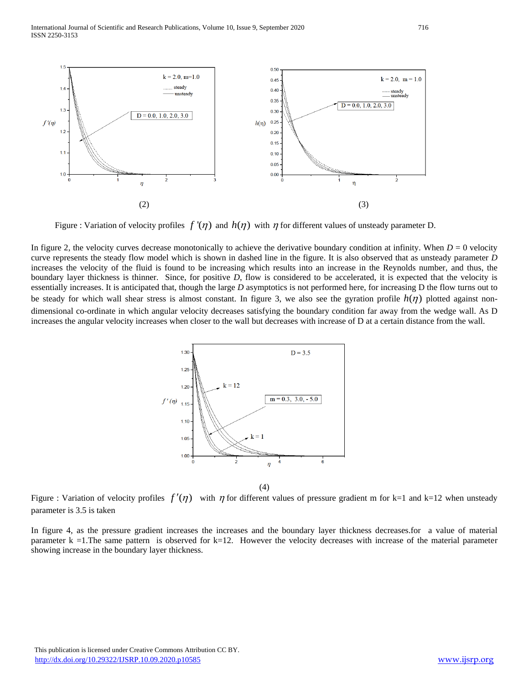International Journal of Scientific and Research Publications, Volume 10, Issue 9, September 2020 716 ISSN 2250-3153



Figure : Variation of velocity profiles  $f'(\eta)$  and  $h(\eta)$  with  $\eta$  for different values of unsteady parameter D.

In figure 2, the velocity curves decrease monotonically to achieve the derivative boundary condition at infinity. When  $D = 0$  velocity curve represents the steady flow model which is shown in dashed line in the figure. It is also observed that as unsteady parameter *D* increases the velocity of the fluid is found to be increasing which results into an increase in the Reynolds number, and thus, the boundary layer thickness is thinner. Since, for positive *D*, flow is considered to be accelerated, it is expected that the velocity is essentially increases. It is anticipated that, though the large *D* asymptotics is not performed here, for increasing D the flow turns out to be steady for which wall shear stress is almost constant. In figure 3, we also see the gyration profile  $h(\eta)$  plotted against nondimensional co-ordinate in which angular velocity decreases satisfying the boundary condition far away from the wedge wall. As D increases the angular velocity increases when closer to the wall but decreases with increase of D at a certain distance from the wall.



(4)

Figure : Variation of velocity profiles  $f'(\eta)$  with  $\eta$  for different values of pressure gradient m for k=1 and k=12 when unsteady parameter is 3.5 is taken

In figure 4, as the pressure gradient increases the increases and the boundary layer thickness decreases.for a value of material parameter  $k = 1$ . The same pattern is observed for  $k=12$ . However the velocity decreases with increase of the material parameter showing increase in the boundary layer thickness.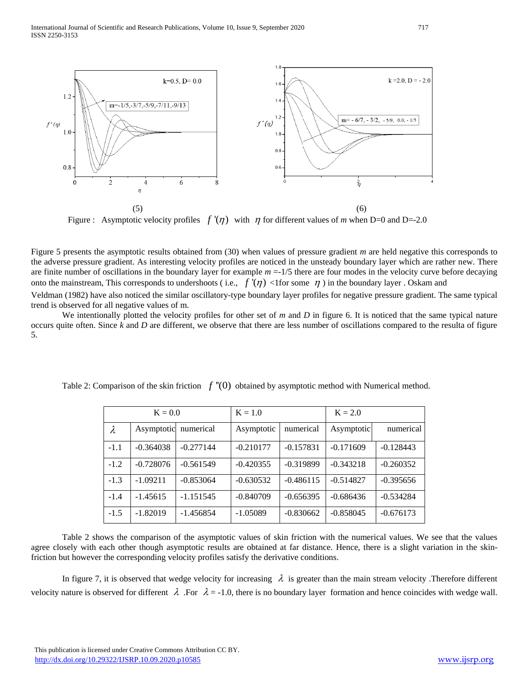

Figure : Asymptotic velocity profiles  $f'(\eta)$  with  $\eta$  for different values of *m* when D=0 and D=-2.0

Figure 5 presents the asymptotic results obtained from (30) when values of pressure gradient *m* are held negative this corresponds to the adverse pressure gradient. As interesting velocity profiles are noticed in the unsteady boundary layer which are rather new. There are finite number of oscillations in the boundary layer for example  $m = 1/5$  there are four modes in the velocity curve before decaying onto the mainstream, This corresponds to undershoots (i.e.,  $f'(\eta)$  <1for some  $\eta$ ) in the boundary layer . Oskam and

Veldman (1982) have also noticed the similar oscillatory-type boundary layer profiles for negative pressure gradient. The same typical trend is observed for all negative values of m.

We intentionally plotted the velocity profiles for other set of *m* and *D* in figure 6. It is noticed that the same typical nature occurs quite often. Since *k* and *D* are different, we observe that there are less number of oscillations compared to the resulta of figure 5.

| $K = 0.0$ |             |             | $K = 1.0$   |             | $K = 2.0$   |             |
|-----------|-------------|-------------|-------------|-------------|-------------|-------------|
| $\lambda$ | Asymptotic  | numerical   | Asymptotic  | numerical   | Asymptotic  | numerical   |
| $-1.1$    | $-0.364038$ | $-0.277144$ | $-0.210177$ | $-0.157831$ | $-0.171609$ | $-0.128443$ |
| $-1.2$    | $-0.728076$ | $-0.561549$ | $-0.420355$ | $-0.319899$ | $-0.343218$ | $-0.260352$ |
| $-1.3$    | $-1.09211$  | $-0.853064$ | $-0.630532$ | $-0.486115$ | $-0.514827$ | $-0.395656$ |
| $-1.4$    | $-1.45615$  | $-1.151545$ | $-0.840709$ | $-0.656395$ | $-0.686436$ | $-0.534284$ |
| $-1.5$    | $-1.82019$  | $-1.456854$ | $-1.05089$  | $-0.830662$ | $-0.858045$ | $-0.676173$ |

Table 2: Comparison of the skin friction  $f''(0)$  obtained by asymptotic method with Numerical method.

Table 2 shows the comparison of the asymptotic values of skin friction with the numerical values. We see that the values agree closely with each other though asymptotic results are obtained at far distance. Hence, there is a slight variation in the skinfriction but however the corresponding velocity profiles satisfy the derivative conditions.

In figure 7, it is observed that wedge velocity for increasing  $\lambda$  is greater than the main stream velocity. Therefore different velocity nature is observed for different  $\lambda$ . For  $\lambda = -1.0$ , there is no boundary layer formation and hence coincides with wedge wall.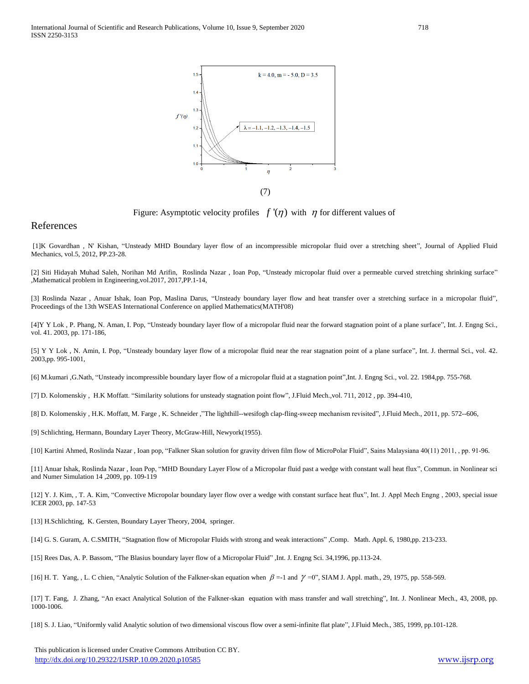

Figure: Asymptotic velocity profiles  $f'(\eta)$  with  $\eta$  for different values of

## References

[1]K Govardhan , N' Kishan, "Unsteady MHD Boundary layer flow of an incompressible micropolar fluid over a stretching sheet", Journal of Applied Fluid Mechanics, vol.5, 2012, PP.23-28.

[2] Siti Hidayah Muhad Saleh, Norihan Md Arifin, Roslinda Nazar , Ioan Pop, "Unsteady micropolar fluid over a permeable curved stretching shrinking surface" ,Mathematical problem in Engineering,vol.2017, 2017,PP.1-14,

[3] Roslinda Nazar , Anuar Ishak, Ioan Pop, Maslina Darus, "Unsteady boundary layer flow and heat transfer over a stretching surface in a micropolar fluid", Proceedings of the 13th WSEAS International Conference on applied Mathematics(MATH'08)

[4]Y Y Lok , P. Phang, N. Aman, I. Pop, "Unsteady boundary layer flow of a micropolar fluid near the forward stagnation point of a plane surface", Int. J. Engng Sci., vol. 41. 2003, pp. 171-186,

[5] Y Y Lok , N. Amin, I. Pop, "Unsteady boundary layer flow of a micropolar fluid near the rear stagnation point of a plane surface", Int. J. thermal Sci., vol. 42. 2003,pp. 995-1001,

[6] M.kumari ,G.Nath, "Unsteady incompressible boundary layer flow of a micropolar fluid at a stagnation point",Int. J. Engng Sci., vol. 22. 1984,pp. 755-768.

[7] D. Kolomenskiy , H.K Moffatt. "Similarity solutions for unsteady stagnation point flow", J.Fluid Mech.,vol. 711, 2012 , pp. 394-410,

[8] D. Kolomenskiy , H.K. Moffatt, M. Farge , K. Schneider ,"The lighthill--wesifogh clap-fling-sweep mechanism revisited", J.Fluid Mech., 2011, pp. 572--606,

[9] Schlichting, Hermann, Boundary Layer Theory, McGraw-Hill, Newyork(1955).

[10] Kartini Ahmed, Roslinda Nazar , Ioan pop, "Falkner Skan solution for gravity driven film flow of MicroPolar Fluid", Sains Malaysiana 40(11) 2011, , pp. 91-96.

[11] Anuar Ishak, Roslinda Nazar , Ioan Pop, "MHD Boundary Layer Flow of a Micropolar fluid past a wedge with constant wall heat flux", Commun. in Nonlinear sci and Numer Simulation 14 ,2009, pp. 109-119

[12] Y. J. Kim, , T. A. Kim, "Convective Micropolar boundary layer flow over a wedge with constant surface heat flux", Int. J. Appl Mech Engng , 2003, special issue ICER 2003, pp. 147-53

[13] H.Schlichting, K. Gersten, Boundary Layer Theory, 2004, springer.

[14] G. S. Guram, A. C.SMITH, "Stagnation flow of Micropolar Fluids with strong and weak interactions" ,Comp. Math. Appl. 6, 1980,pp. 213-233.

[15] Rees Das, A. P. Bassom, "The Blasius boundary layer flow of a Micropolar Fluid" ,Int. J. Engng Sci. 34,1996, pp.113-24.

[16] H. T. Yang, , L. C chien, "Analytic Solution of the Falkner-skan equation when  $\beta$  =-1 and  $\gamma$  =0", SIAM J. Appl. math., 29, 1975, pp. 558-569.

[17] T. Fang, J. Zhang, "An exact Analytical Solution of the Falkner-skan equation with mass transfer and wall stretching", Int. J. Nonlinear Mech., 43, 2008, pp. 1000-1006.

[18] S. J. Liao, "Uniformly valid Analytic solution of two dimensional viscous flow over a semi-infinite flat plate", J.Fluid Mech., 385, 1999, pp.101-128.